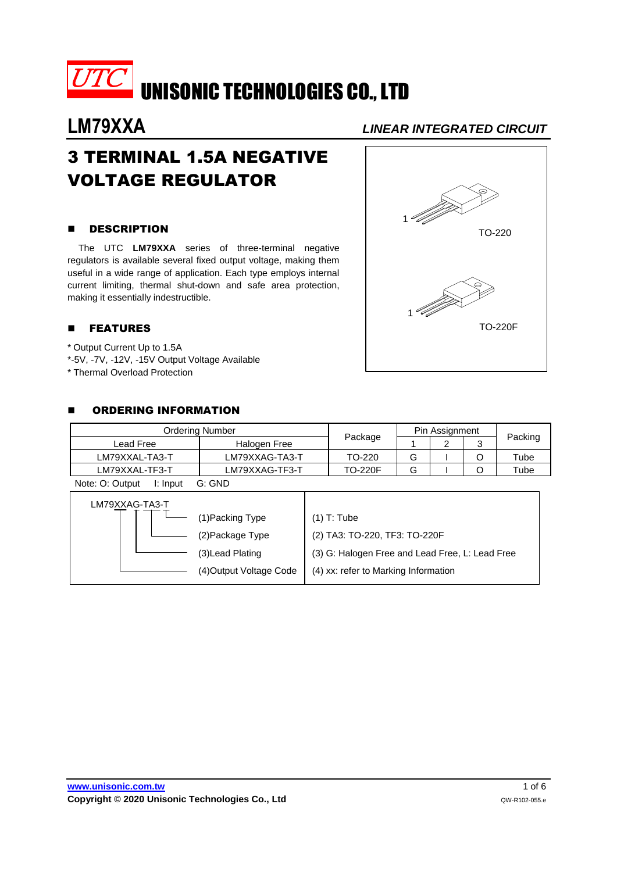

# 3 TERMINAL 1.5A NEGATIVE VOLTAGE REGULATOR

### **B** DESCRIPTION

The UTC **LM79XXA** series of three-terminal negative regulators is available several fixed output voltage, making them useful in a wide range of application. Each type employs internal current limiting, thermal shut-down and safe area protection, making it essentially indestructible.

### **E** FEATURES

- \* Output Current Up to 1.5A
- \*-5V, -7V, -12V, -15V Output Voltage Available
- \* Thermal Overload Protection

### **E** ORDERING INFORMATION

| Ordering Number |                | Pin Assignment |  |  |         |
|-----------------|----------------|----------------|--|--|---------|
| ∟ead Free       | Halogen Free   | Package        |  |  | Packing |
| LM79XXAL-TA3-T  | LM79XXAG-TA3-T | TO-220         |  |  | Tube    |
| LM79XXAL-TF3-T  | LM79XXAG-TF3-T | <b>TO-220F</b> |  |  | Tube    |

Note: O: Output I: Input G: GND

| LM79XXAG-TA3-T |                         |                                                 |  |
|----------------|-------------------------|-------------------------------------------------|--|
|                | 1) Packing Type         | $(1)$ T: Tube                                   |  |
|                | (2) Package Type        | (2) TA3: TO-220, TF3: TO-220F                   |  |
|                | (3) Lead Plating        | (3) G: Halogen Free and Lead Free, L: Lead Free |  |
|                | (4) Output Voltage Code | (4) xx: refer to Marking Information            |  |

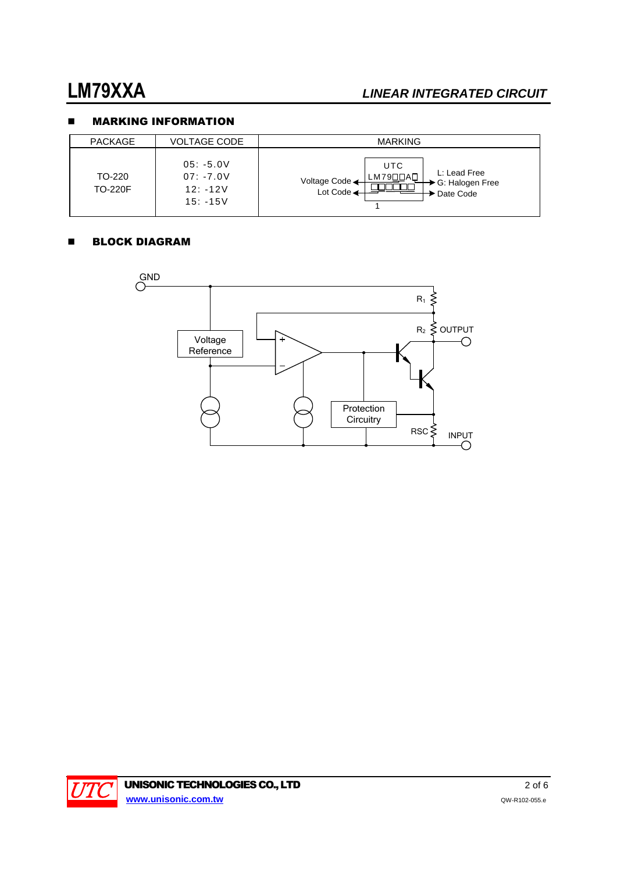## **NARKING INFORMATION**

| <b>PACKAGE</b>           | VOLTAGE CODE                                           | <b>MARKING</b>                                                                                     |
|--------------------------|--------------------------------------------------------|----------------------------------------------------------------------------------------------------|
| TO-220<br><b>TO-220F</b> | $05: -5.0V$<br>$07: -7.0V$<br>$12: -12V$<br>$15: -15V$ | <b>UTC</b><br>L: Lead Free<br>LM79□□A□<br>Voltage Code<br>G: Halogen Free<br>Lot Code<br>Date Code |

### **BLOCK DIAGRAM**



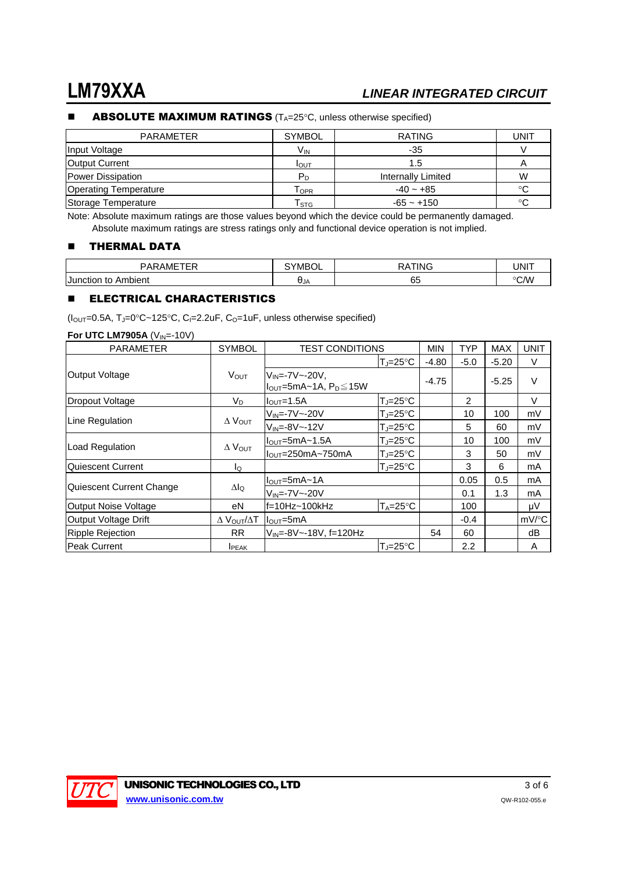#### $\blacksquare$  ABSOLUTE MAXIMUM RATINGS ( $T_A=25^{\circ}$ C, unless otherwise specified)

| <b>PARAMETER</b>             | <b>SYMBOL</b>               | <b>RATING</b>      | UNIT    |
|------------------------------|-----------------------------|--------------------|---------|
| Input Voltage                | V <sub>IN</sub>             | -35                |         |
| <b>Output Current</b>        | I <sub>OUT</sub>            | 1.5                |         |
| <b>Power Dissipation</b>     | P <sub>D</sub>              | Internally Limited | W       |
| <b>Operating Temperature</b> | T <sub>OPR</sub>            | $-40 - +85$        | ം       |
| Storage Temperature          | $\mathsf{T}_{\textsf{STG}}$ | $-65 - +150$       | $\circ$ |

Note: Absolute maximum ratings are those values beyond which the device could be permanently damaged. Absolute maximum ratings are stress ratings only and functional device operation is not implied.

### **THERMAL DATA**

| $\sim$ $\sim$ $\sim$<br>י י<br>۱M۰        | -<br>'NALS. |    | JNF               |
|-------------------------------------------|-------------|----|-------------------|
| <b>Junction</b><br>nbient<br>to<br>$\sim$ | UJA         | ∪こ | $\circ$ CAA<br>٫ب |

#### **ELECTRICAL CHARACTERISTICS**

( $I_{\text{OUT}}$ =0.5A, TJ=0°C~125°C, C<sub>I</sub>=2.2uF, C<sub>O</sub>=1uF, unless otherwise specified)

| <b>PARAMETER</b>            | <b>SYMBOL</b>               | <b>TEST CONDITIONS</b>                                       |                           | <b>MIN</b> | <b>TYP</b>     | <b>MAX</b> | <b>UNIT</b>         |
|-----------------------------|-----------------------------|--------------------------------------------------------------|---------------------------|------------|----------------|------------|---------------------|
|                             |                             |                                                              | $T_J = 25^{\circ}C$       | $-4.80$    | $-5.0$         | $-5.20$    | V                   |
| Output Voltage              | <b>VOUT</b>                 | $V_{IN} = -7V - -20V$ ,<br>$I_{OUT}$ =5mA~1A, $P_D \leq 15W$ |                           | $-4.75$    |                | $-5.25$    | $\vee$              |
| Dropout Voltage             | $V_D$                       | $IOUT=1.5A$                                                  | $T_J = 25^{\circ}C$       |            | $\overline{2}$ |            | V                   |
| Line Regulation             |                             | $V_{IN} = -7V - -20V$                                        | $T_{\rm J}$ =25°C         |            | 10             | 100        | mV                  |
|                             | $\Delta$ $V_{\text{OUT}}$   | $V_{IN} = -8V - -12V$                                        | $T_J = 25^{\circ}C$       |            | 5              | 60         | mV                  |
|                             | $\Delta$ $V_{OUT}$          | $I_{\text{OUT}} = 5mA - 1.5A$                                | $T_J = 25^{\circ}C$       |            | 10             | 100        | mV                  |
| Load Regulation             |                             | $I_{\text{OUT}} = 250 \text{mA} - 750 \text{mA}$             | $T_{\rm J}$ =25°C         |            | 3              | 50         | mV                  |
| Quiescent Current           | ΙQ                          |                                                              | $T_J = 25^{\circ}C$       |            | 3              | 6          | mA                  |
|                             |                             | $I_{\text{OUT}} = 5mA - 1A$                                  |                           |            | 0.05           | 0.5        | mA                  |
| Quiescent Current Change    | $\Delta I_Q$                | $V_{IN} = -7V - -20V$                                        |                           |            | 0.1            | 1.3        | mA                  |
| Output Noise Voltage        | еN                          | $f=10Hz-100kHz$                                              | $T_A = 25^{\circ}C$       |            | 100            |            | μV                  |
| <b>Output Voltage Drift</b> | $\Delta$ $V_{OUT}/\Delta T$ | $I_{\text{OUT}} = 5 \text{mA}$                               |                           |            | $-0.4$         |            | $mV$ <sup>o</sup> C |
| <b>Ripple Rejection</b>     | <b>RR</b>                   | $V_{IN} = -8V - -18V$ , f=120Hz                              |                           | 54         | 60             |            | dB                  |
| <b>Peak Current</b>         | <b>IPEAK</b>                |                                                              | $T_{\rm J} = 25^{\circ}C$ |            | 2.2            |            | A                   |

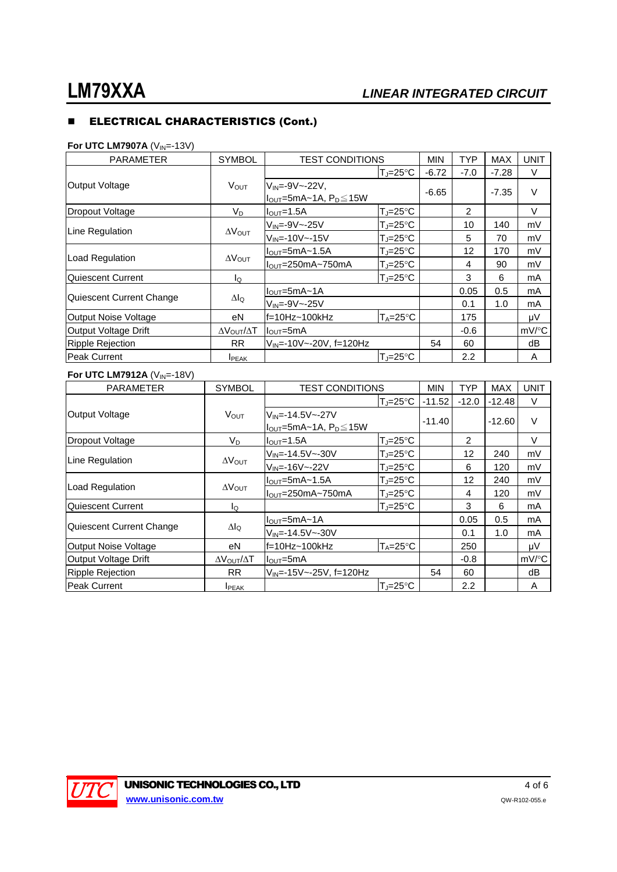## **ELECTRICAL CHARACTERISTICS (Cont.)**

### **For UTC LM7907A** (V<sub>IN</sub>=-13V)

| <b>PARAMETER</b>            | <b>SYMBOL</b>                    | <b>TEST CONDITIONS</b>              |                     | <b>MIN</b> | <b>TYP</b>     | <b>MAX</b> | <b>UNIT</b>         |
|-----------------------------|----------------------------------|-------------------------------------|---------------------|------------|----------------|------------|---------------------|
|                             |                                  |                                     | TJ=25°C             | $-6.72$    | $-7.0$         | $-7.28$    | V                   |
| Output Voltage              | <b>V</b> OUT                     | $V_{IN} = -9V - -22V$ .             |                     | $-6.65$    |                | $-7.35$    | $\vee$              |
|                             |                                  | $I_{OUT}$ =5mA~1A, $P_D \leq 15W$   |                     |            |                |            |                     |
| Dropout Voltage             | $V_D$                            | $IOUT=1.5A$                         | $T_J = 25^{\circ}C$ |            | $\overline{2}$ |            | V                   |
|                             |                                  | $V_{IN} = -9V - -25V$               | $T_J = 25^{\circ}C$ |            | 10             | 140        | mV                  |
| Line Regulation             | $\Delta V_{\text{OUT}}$          | $V_{IN} = -10V - -15V$              | $T = 25^{\circ}C$   |            | 5              | 70         | mV                  |
|                             | $\Delta V_{\text{OUT}}$          | $IOUT=5mA~1.5A$                     | $T_J = 25^{\circ}C$ |            | 12             | 170        | mV                  |
| <b>Load Regulation</b>      |                                  | $IOUT=250mA~750mA$                  | $T_J = 25^{\circ}C$ |            | 4              | 90         | mV                  |
| Quiescent Current           | lo                               |                                     | $T = 25^{\circ}C$   |            | 3              | 6          | mA                  |
|                             | $\Delta I_Q$                     | $IOUT=5mA~1A$                       |                     |            | 0.05           | 0.5        | mA                  |
| Quiescent Current Change    |                                  | $V_{IN} = -9V - -25V$               |                     |            | 0.1            | 1.0        | mA                  |
| <b>Output Noise Voltage</b> | еN                               | $f=10Hz - 100kHz$                   | $T_A = 25^{\circ}C$ |            | 175            |            | μV                  |
| Output Voltage Drift        | $\Delta V_{\text{OUT}}/\Delta T$ | $IOUT=5mA$                          |                     |            | $-0.6$         |            | $mV$ <sup>o</sup> C |
| <b>Ripple Rejection</b>     | <b>RR</b>                        | V <sub>IN</sub> =-10V~-20V, f=120Hz |                     | 54         | 60             |            | dB                  |
| Peak Current                | <b>IPEAK</b>                     |                                     | $T = 25^{\circ}C$   |            | 2.2            |            | A                   |

#### **For UTC LM7912A** (V<sub>IN</sub>=-18V)

| <b>PARAMETER</b>         | <b>SYMBOL</b>                    | <b>TEST CONDITIONS</b>                              |                     | <b>MIN</b> | <b>TYP</b>     | <b>MAX</b> | <b>UNIT</b> |
|--------------------------|----------------------------------|-----------------------------------------------------|---------------------|------------|----------------|------------|-------------|
|                          |                                  |                                                     | $T_J = 25^{\circ}C$ | $-11.52$   | $-12.0$        | $-12.48$   | V           |
| Output Voltage           | V <sub>OUT</sub>                 | $V_{IN} = -14.5V - -27V$                            |                     |            |                | $-12.60$   | $\vee$      |
|                          |                                  | $I_{\text{OUT}}$ =5mA~1A, $P_{\text{D}}$ $\leq$ 15W |                     | $-11.40$   |                |            |             |
| Dropout Voltage          | $V_D$                            | $I_{\text{OUT}}=1.5A$                               | $T_{\rm J}$ =25°C   |            | $\overline{2}$ |            | V           |
| Line Regulation          |                                  | $V_{IN} = -14.5V - -30V$                            | $T_J = 25^{\circ}C$ |            | 12             | 240        | mV          |
|                          | $\Delta V_{\text{OUT}}$          | $V_{IN} = -16V - -22V$                              | $T_J = 25^{\circ}C$ |            | 6              | 120        | mV          |
|                          | $\Delta V_{\text{OUT}}$          | $IOUT=5mA~1.5A$                                     | $T_J = 25^{\circ}C$ |            | 12             | 240        | mV          |
| Load Regulation          |                                  | $IOUT=250mA~750mA$                                  | $T_J = 25^\circ C$  |            | 4              | 120        | mV          |
| Quiescent Current        | $I_{\mathsf{Q}}$                 |                                                     | $T_J = 25^{\circ}C$ |            | 3              | 6          | mA          |
|                          |                                  | $IOUT=5mA~1A$                                       |                     |            | 0.05           | 0.5        | mA          |
| Quiescent Current Change | $\Delta I_Q$                     | $V_{IN} = -14.5V - -30V$                            |                     |            | 0.1            | 1.0        | mA          |
| Output Noise Voltage     | еN                               | f=10Hz~100kHz                                       | $T_A = 25^{\circ}C$ |            | 250            |            | μV          |
| Output Voltage Drift     | $\Delta V_{\text{OUT}}/\Delta T$ | $I_{\text{OUT}} = 5 \text{mA}$                      |                     |            | $-0.8$         |            | mV/°C       |
| <b>Ripple Rejection</b>  | <b>RR</b>                        | $V_{IN} = -15V - -25V$ , f=120Hz                    |                     | 54         | 60             |            | dB          |
| Peak Current             | <b>I</b> PEAK                    |                                                     | $T_J = 25^{\circ}C$ |            | 2.2            |            | A           |

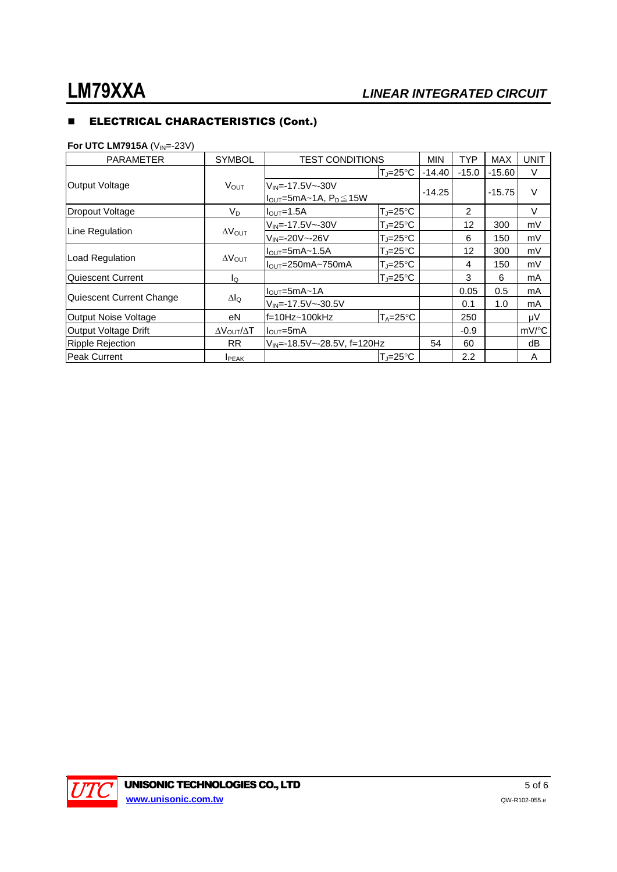## **ELECTRICAL CHARACTERISTICS (Cont.)**

### **For UTC LM7915A** (V<sub>IN</sub>=-23V)

| <b>PARAMETER</b>         | <b>SYMBOL</b>           | <b>TEST CONDITIONS</b>            |                     | <b>MIN</b> | <b>TYP</b>       | <b>MAX</b> | <b>UNIT</b> |
|--------------------------|-------------------------|-----------------------------------|---------------------|------------|------------------|------------|-------------|
|                          |                         |                                   | TJ=25°C             | $-14.40$   | $-15.0$          | $-15.60$   | V           |
| Output Voltage           | V <sub>OUT</sub>        | $V_{IN} = -17.5V - -30V$          |                     |            |                  |            | V           |
|                          |                         | $I_{OUT}$ =5mA~1A, $P_D \leq 15W$ |                     | $-14.25$   |                  | $-15.75$   |             |
| <b>Dropout Voltage</b>   | $V_D$                   | $I_{\text{OUT}}=1.5A$             | $T_J = 25^{\circ}C$ |            | 2                |            | V           |
| Line Regulation          |                         | $V_{IN} = -17.5V - -30V$          | T.⊫25°C             |            | 12               | 300        | mV          |
|                          | $\Delta V_{\text{OUT}}$ | $V_{IN} = -20V - -26V$            | $T_J = 25^\circ C$  |            | 6                | 150        | mV          |
|                          |                         | $IOUT=5mA~1.5A$                   | $T_J = 25^\circ C$  |            | 12               | 300        | mV          |
| Load Regulation          | $\Delta V_{\text{OUT}}$ | $IOUT=250mA~750mA$                | $T_J = 25^{\circ}C$ |            | 4                | 150        | mV          |
| Quiescent Current        | lQ                      |                                   | $T_J = 25^{\circ}C$ |            | 3                | 6          | mA          |
|                          |                         | $IOUT=5mA~1A$                     |                     |            | 0.05             | 0.5        | mA          |
| Quiescent Current Change | $\Delta I_Q$            | $V_{IN} = -17.5V - -30.5V$        |                     |            | 0.1              | 1.0        | mA          |
| Output Noise Voltage     | eN                      | f=10Hz~100kHz                     | $T_A = 25^{\circ}C$ |            | 250              |            | μV          |
| Output Voltage Drift     | ΔV <sub>OUT</sub> /ΔT   | $I_{\text{OUT}} = 5 \text{mA}$    |                     |            | $-0.9$           |            | mV/°C       |
| <b>Ripple Rejection</b>  | <b>RR</b>               | $V_{IN}$ =-18.5V ~-28.5V, f=120Hz |                     | 54         | 60               |            | dB          |
| <b>Peak Current</b>      | <b>IPEAK</b>            |                                   | $T = 25^{\circ}C$   |            | $2.2\phantom{0}$ |            | A           |